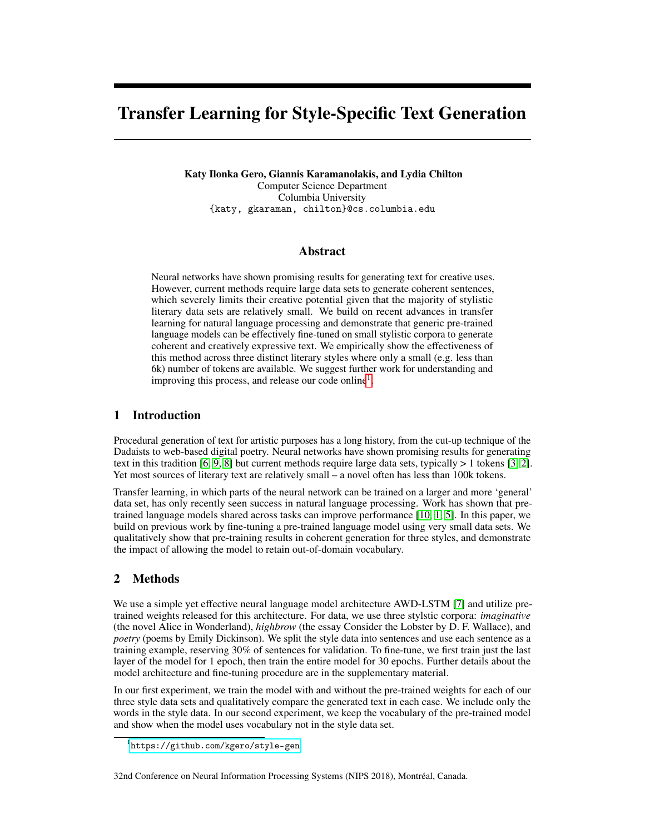# Transfer Learning for Style-Specific Text Generation

Katy Ilonka Gero, Giannis Karamanolakis, and Lydia Chilton Computer Science Department Columbia University {katy, gkaraman, chilton}@cs.columbia.edu

### Abstract

Neural networks have shown promising results for generating text for creative uses. However, current methods require large data sets to generate coherent sentences, which severely limits their creative potential given that the majority of stylistic literary data sets are relatively small. We build on recent advances in transfer learning for natural language processing and demonstrate that generic pre-trained language models can be effectively fine-tuned on small stylistic corpora to generate coherent and creatively expressive text. We empirically show the effectiveness of this method across three distinct literary styles where only a small (e.g. less than 6k) number of tokens are available. We suggest further work for understanding and improving this process, and release our code online<sup>[1](#page-0-0)</sup>.

## 1 Introduction

Procedural generation of text for artistic purposes has a long history, from the cut-up technique of the Dadaists to web-based digital poetry. Neural networks have shown promising results for generating text in this tradition [\[6,](#page-2-0) [9,](#page-2-1) [8\]](#page-2-2) but current methods require large data sets, typically  $> 1$  tokens [\[3,](#page-2-3) [2\]](#page-2-4). Yet most sources of literary text are relatively small – a novel often has less than 100k tokens.

Transfer learning, in which parts of the neural network can be trained on a larger and more 'general' data set, has only recently seen success in natural language processing. Work has shown that pretrained language models shared across tasks can improve performance [\[10,](#page-2-5) [1,](#page-2-6) [5\]](#page-2-7). In this paper, we build on previous work by fine-tuning a pre-trained language model using very small data sets. We qualitatively show that pre-training results in coherent generation for three styles, and demonstrate the impact of allowing the model to retain out-of-domain vocabulary.

## 2 Methods

We use a simple yet effective neural language model architecture AWD-LSTM [\[7\]](#page-2-8) and utilize pretrained weights released for this architecture. For data, we use three stylstic corpora: *imaginative* (the novel Alice in Wonderland), *highbrow* (the essay Consider the Lobster by D. F. Wallace), and *poetry* (poems by Emily Dickinson). We split the style data into sentences and use each sentence as a training example, reserving 30% of sentences for validation. To fine-tune, we first train just the last layer of the model for 1 epoch, then train the entire model for 30 epochs. Further details about the model architecture and fine-tuning procedure are in the supplementary material.

In our first experiment, we train the model with and without the pre-trained weights for each of our three style data sets and qualitatively compare the generated text in each case. We include only the words in the style data. In our second experiment, we keep the vocabulary of the pre-trained model and show when the model uses vocabulary not in the style data set.

#### 32nd Conference on Neural Information Processing Systems (NIPS 2018), Montréal, Canada.

<span id="page-0-0"></span><sup>1</sup> <https://github.com/kgero/style-gen>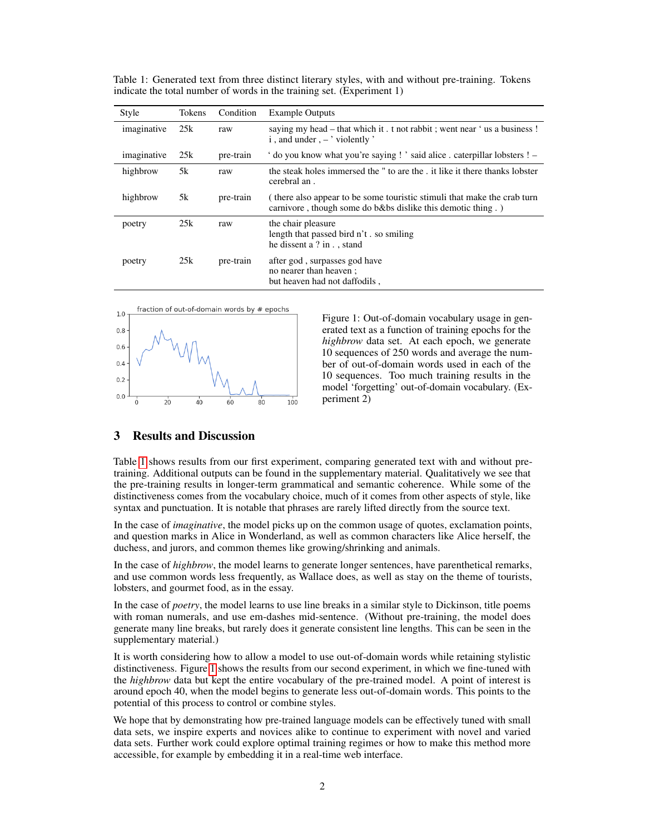| Style       | Tokens | Condition | <b>Example Outputs</b>                                                                                                                |
|-------------|--------|-----------|---------------------------------------------------------------------------------------------------------------------------------------|
| imaginative | 25k    | raw       | saying my head – that which it. t not rabbit; went near 'us a business!<br>$i$ , and under, $-$ violently '                           |
| imaginative | 25k    | pre-train | ' do you know what you're saying ! ' said alice . caterpillar lobsters ! –                                                            |
| highbrow    | 5k     | raw       | the steak holes immersed the " to are the . it like it there thanks lobster<br>cerebral an.                                           |
| highbrow    | 5k     | pre-train | (there also appear to be some touristic stimuli that make the crab turn<br>carnivore, though some do b&bs dislike this demotic thing. |
| poetry      | 25k    | raw       | the chair pleasure<br>length that passed bird n't. so smiling<br>he dissent a ? in . , stand                                          |
| poetry      | 25k    | pre-train | after god, surpasses god have<br>no nearer than heaven ;<br>but heaven had not daffodils,                                             |

<span id="page-1-0"></span>Table 1: Generated text from three distinct literary styles, with and without pre-training. Tokens indicate the total number of words in the training set. (Experiment 1)



<span id="page-1-1"></span>Figure 1: Out-of-domain vocabulary usage in generated text as a function of training epochs for the *highbrow* data set. At each epoch, we generate 10 sequences of 250 words and average the number of out-of-domain words used in each of the 10 sequences. Too much training results in the model 'forgetting' out-of-domain vocabulary. (Experiment 2)

#### 3 Results and Discussion

Table [1](#page-1-0) shows results from our first experiment, comparing generated text with and without pretraining. Additional outputs can be found in the supplementary material. Qualitatively we see that the pre-training results in longer-term grammatical and semantic coherence. While some of the distinctiveness comes from the vocabulary choice, much of it comes from other aspects of style, like syntax and punctuation. It is notable that phrases are rarely lifted directly from the source text.

In the case of *imaginative*, the model picks up on the common usage of quotes, exclamation points, and question marks in Alice in Wonderland, as well as common characters like Alice herself, the duchess, and jurors, and common themes like growing/shrinking and animals.

In the case of *highbrow*, the model learns to generate longer sentences, have parenthetical remarks, and use common words less frequently, as Wallace does, as well as stay on the theme of tourists, lobsters, and gourmet food, as in the essay.

In the case of *poetry*, the model learns to use line breaks in a similar style to Dickinson, title poems with roman numerals, and use em-dashes mid-sentence. (Without pre-training, the model does generate many line breaks, but rarely does it generate consistent line lengths. This can be seen in the supplementary material.)

It is worth considering how to allow a model to use out-of-domain words while retaining stylistic distinctiveness. Figure [1](#page-1-1) shows the results from our second experiment, in which we fine-tuned with the *highbrow* data but kept the entire vocabulary of the pre-trained model. A point of interest is around epoch 40, when the model begins to generate less out-of-domain words. This points to the potential of this process to control or combine styles.

We hope that by demonstrating how pre-trained language models can be effectively tuned with small data sets, we inspire experts and novices alike to continue to experiment with novel and varied data sets. Further work could explore optimal training regimes or how to make this method more accessible, for example by embedding it in a real-time web interface.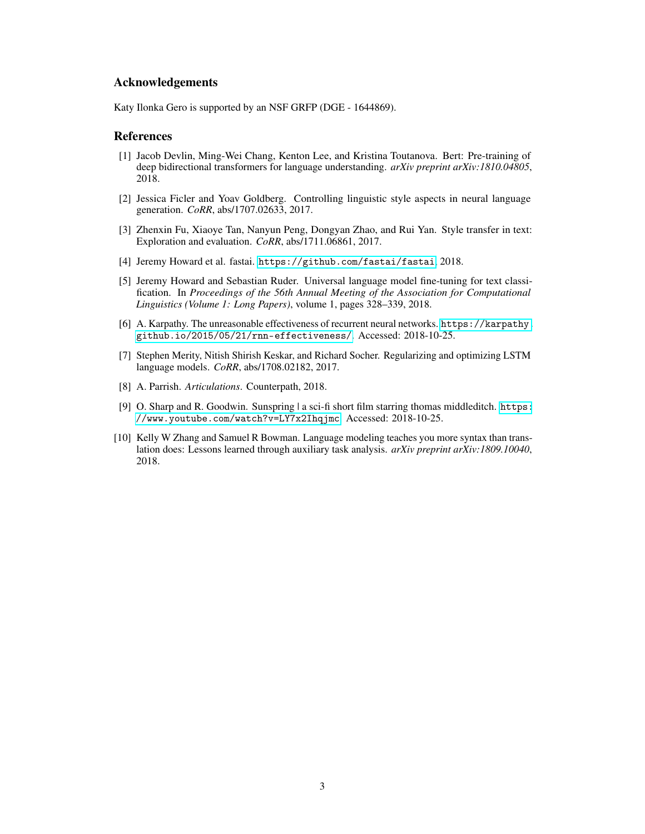#### Acknowledgements

Katy Ilonka Gero is supported by an NSF GRFP (DGE - 1644869).

#### References

- <span id="page-2-6"></span>[1] Jacob Devlin, Ming-Wei Chang, Kenton Lee, and Kristina Toutanova. Bert: Pre-training of deep bidirectional transformers for language understanding. *arXiv preprint arXiv:1810.04805*, 2018.
- <span id="page-2-4"></span>[2] Jessica Ficler and Yoav Goldberg. Controlling linguistic style aspects in neural language generation. *CoRR*, abs/1707.02633, 2017.
- <span id="page-2-3"></span>[3] Zhenxin Fu, Xiaoye Tan, Nanyun Peng, Dongyan Zhao, and Rui Yan. Style transfer in text: Exploration and evaluation. *CoRR*, abs/1711.06861, 2017.
- <span id="page-2-9"></span>[4] Jeremy Howard et al. fastai. <https://github.com/fastai/fastai>, 2018.
- <span id="page-2-7"></span>[5] Jeremy Howard and Sebastian Ruder. Universal language model fine-tuning for text classification. In *Proceedings of the 56th Annual Meeting of the Association for Computational Linguistics (Volume 1: Long Papers)*, volume 1, pages 328–339, 2018.
- <span id="page-2-0"></span>[6] A. Karpathy. The unreasonable effectiveness of recurrent neural networks. [https://karpathy.](https://karpathy.github.io/2015/05/21/rnn-effectiveness/) [github.io/2015/05/21/rnn-effectiveness/](https://karpathy.github.io/2015/05/21/rnn-effectiveness/). Accessed: 2018-10-25.
- <span id="page-2-8"></span>[7] Stephen Merity, Nitish Shirish Keskar, and Richard Socher. Regularizing and optimizing LSTM language models. *CoRR*, abs/1708.02182, 2017.
- <span id="page-2-2"></span>[8] A. Parrish. *Articulations*. Counterpath, 2018.
- <span id="page-2-1"></span>[9] O. Sharp and R. Goodwin. Sunspring | a sci-fi short film starring thomas middleditch. [https:](https://www.youtube.com/watch?v=LY7x2Ihqjmc) [//www.youtube.com/watch?v=LY7x2Ihqjmc](https://www.youtube.com/watch?v=LY7x2Ihqjmc). Accessed: 2018-10-25.
- <span id="page-2-5"></span>[10] Kelly W Zhang and Samuel R Bowman. Language modeling teaches you more syntax than translation does: Lessons learned through auxiliary task analysis. *arXiv preprint arXiv:1809.10040*, 2018.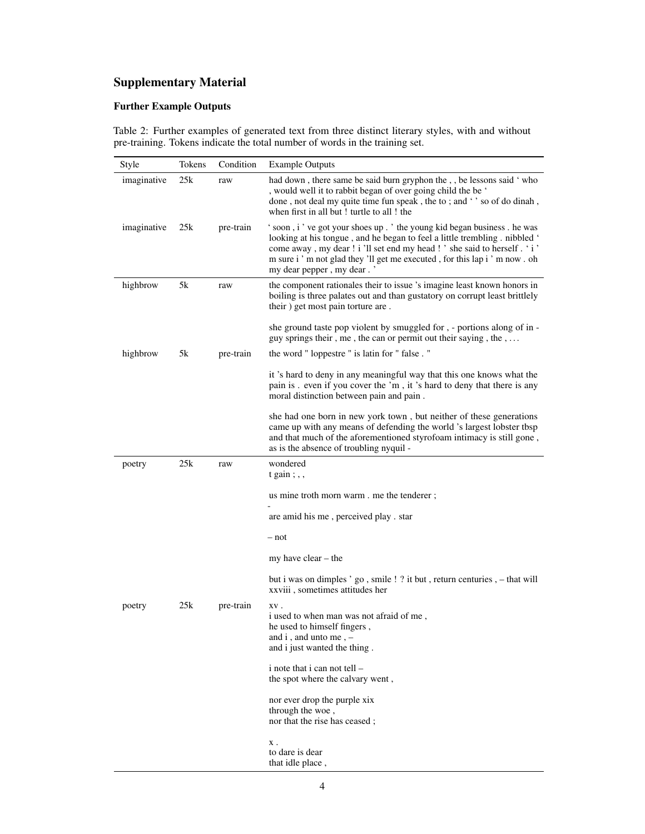# Supplementary Material

## Further Example Outputs

Table 2: Further examples of generated text from three distinct literary styles, with and without pre-training. Tokens indicate the total number of words in the training set.

| Style       | Tokens | Condition | <b>Example Outputs</b>                                                                                                                                                                                                                                                                                                                       |
|-------------|--------|-----------|----------------------------------------------------------------------------------------------------------------------------------------------------------------------------------------------------------------------------------------------------------------------------------------------------------------------------------------------|
| imaginative | 25k    | raw       | had down, there same be said burn gryphon the,, be lessons said 'who<br>, would well it to rabbit began of over going child the be '<br>done, not deal my quite time fun speak, the to; and '' so of do dinah,<br>when first in all but! turtle to all! the                                                                                  |
| imaginative | 25k    | pre-train | ' soon, i' ve got your shoes up.' the young kid began business. he was<br>looking at his tongue, and he began to feel a little trembling. nibbled '<br>come away, my dear ! i 'll set end my head ! ' she said to herself . ' i '<br>m sure i ' m not glad they 'll get me executed, for this lap i ' m now. oh<br>my dear pepper, my dear.' |
| highbrow    | 5k     | raw       | the component rationales their to issue 's imagine least known honors in<br>boiling is three palates out and than gustatory on corrupt least brittlely<br>their) get most pain torture are.                                                                                                                                                  |
|             |        |           | she ground taste pop violent by smuggled for, - portions along of in -<br>guy springs their, me, the can or permit out their saying, the,                                                                                                                                                                                                    |
| highbrow    | 5k     | pre-train | the word "loppestre" is latin for "false."                                                                                                                                                                                                                                                                                                   |
|             |        |           | it 's hard to deny in any meaningful way that this one knows what the<br>pain is . even if you cover the 'm, it 's hard to deny that there is any<br>moral distinction between pain and pain.                                                                                                                                                |
|             |        |           | she had one born in new york town, but neither of these generations<br>came up with any means of defending the world 's largest lobster tbsp<br>and that much of the aforementioned styrofoam intimacy is still gone,<br>as is the absence of troubling nyquil -                                                                             |
| poetry      | 25k    | raw       | wondered<br>$t gain$ ;,                                                                                                                                                                                                                                                                                                                      |
|             |        |           | us mine troth morn warm . me the tenderer;                                                                                                                                                                                                                                                                                                   |
|             |        |           | are amid his me, perceived play. star                                                                                                                                                                                                                                                                                                        |
|             |        |           | – not                                                                                                                                                                                                                                                                                                                                        |
|             |        |           | my have clear $-$ the                                                                                                                                                                                                                                                                                                                        |
|             |        |           | but i was on dimples 'go, smile ! ? it but, return centuries, - that will<br>xxviii, sometimes attitudes her                                                                                                                                                                                                                                 |
| poetry      | 25k    | pre-train | XV.<br>i used to when man was not afraid of me,<br>he used to himself fingers,<br>and i, and unto me, -<br>and i just wanted the thing.                                                                                                                                                                                                      |
|             |        |           | i note that i can not tell –<br>the spot where the calvary went,                                                                                                                                                                                                                                                                             |
|             |        |           | nor ever drop the purple xix<br>through the woe,<br>nor that the rise has ceased;                                                                                                                                                                                                                                                            |
|             |        |           | X .<br>to dare is dear<br>that idle place,                                                                                                                                                                                                                                                                                                   |